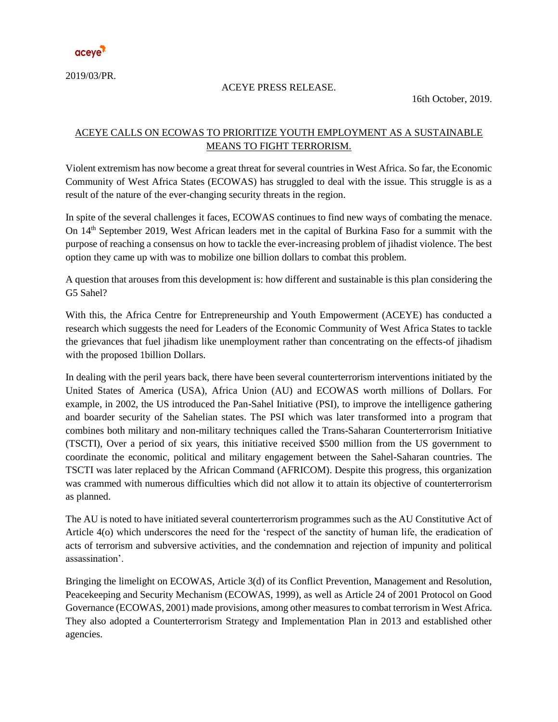

2019/03/PR.

## ACEYE PRESS RELEASE.

16th October, 2019.

## ACEYE CALLS ON ECOWAS TO PRIORITIZE YOUTH EMPLOYMENT AS A SUSTAINABLE MEANS TO FIGHT TERRORISM.

Violent extremism has now become a great threat for several countries in West Africa. So far, the Economic Community of West Africa States (ECOWAS) has struggled to deal with the issue. This struggle is as a result of the nature of the ever-changing security threats in the region.

In spite of the several challenges it faces, ECOWAS continues to find new ways of combating the menace. On 14th September 2019, West African leaders met in the capital of Burkina Faso for a summit with the purpose of reaching a consensus on how to tackle the ever-increasing problem of jihadist violence. The best option they came up with was to mobilize one billion dollars to combat this problem.

A question that arouses from this development is: how different and sustainable is this plan considering the G5 Sahel?

With this, the Africa Centre for Entrepreneurship and Youth Empowerment (ACEYE) has conducted a research which suggests the need for Leaders of the Economic Community of West Africa States to tackle the grievances that fuel jihadism like unemployment rather than concentrating on the effects-of jihadism with the proposed 1billion Dollars.

In dealing with the peril years back, there have been several counterterrorism interventions initiated by the United States of America (USA), Africa Union (AU) and ECOWAS worth millions of Dollars. For example, in 2002, the US introduced the Pan-Sahel Initiative (PSI), to improve the intelligence gathering and boarder security of the Sahelian states. The PSI which was later transformed into a program that combines both military and non-military techniques called the Trans-Saharan Counterterrorism Initiative (TSCTI), Over a period of six years, this initiative received \$500 million from the US government to coordinate the economic, political and military engagement between the Sahel-Saharan countries. The TSCTI was later replaced by the African Command (AFRICOM). Despite this progress, this organization was crammed with numerous difficulties which did not allow it to attain its objective of counterterrorism as planned.

The AU is noted to have initiated several counterterrorism programmes such as the AU Constitutive Act of Article 4(o) which underscores the need for the 'respect of the sanctity of human life, the eradication of acts of terrorism and subversive activities, and the condemnation and rejection of impunity and political assassination'.

Bringing the limelight on ECOWAS, Article 3(d) of its Conflict Prevention, Management and Resolution, Peacekeeping and Security Mechanism (ECOWAS, 1999), as well as Article 24 of 2001 Protocol on Good Governance (ECOWAS, 2001) made provisions, among other measures to combat terrorism in West Africa. They also adopted a Counterterrorism Strategy and Implementation Plan in 2013 and established other agencies.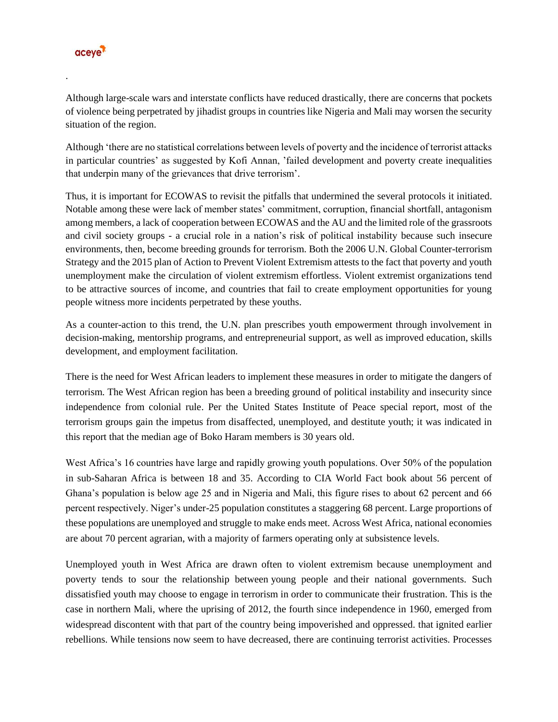

.

Although large-scale wars and interstate conflicts have reduced drastically, there are concerns that pockets of violence being perpetrated by jihadist groups in countries like Nigeria and Mali may worsen the security situation of the region.

Although 'there are no statistical correlations between levels of poverty and the incidence of terrorist attacks in particular countries' as suggested by Kofi Annan, 'failed development and poverty create inequalities that underpin many of the grievances that drive terrorism'.

Thus, it is important for ECOWAS to revisit the pitfalls that undermined the several protocols it initiated. Notable among these were lack of member states' commitment, corruption, financial shortfall, antagonism among members, a lack of cooperation between ECOWAS and the AU and the limited role of the grassroots and civil society groups - a crucial role in a nation's risk of political instability because such insecure environments, then, become breeding grounds for terrorism. Both the 2006 U.N. Global Counter-terrorism Strategy and the 2015 plan of Action to Prevent Violent Extremism attests to the fact that poverty and youth unemployment make the circulation of violent extremism effortless. Violent extremist organizations tend to be attractive sources of income, and countries that fail to create employment opportunities for young people witness more incidents perpetrated by these youths.

As a counter-action to this trend, the U.N. plan prescribes youth empowerment through involvement in decision-making, mentorship programs, and entrepreneurial support, as well as improved education, skills development, and employment facilitation.

There is the need for West African leaders to implement these measures in order to mitigate the dangers of terrorism. The West African region has been a breeding ground of political instability and insecurity since independence from colonial rule. Per the United States Institute of Peace special report, most of the terrorism groups gain the impetus from disaffected, unemployed, and destitute youth; it was indicated in this report that the median age of Boko Haram members is 30 years old.

West Africa's 16 countries have large and rapidly growing youth populations. Over 50% of the population in sub-Saharan Africa is between 18 and 35. According to CIA World Fact book about 56 percent of Ghana's population is below age 25 and in Nigeria and Mali, this figure rises to about 62 percent and 66 percent respectively. Niger's under-25 population constitutes a staggering 68 percent. Large proportions of these populations are unemployed and struggle to make ends meet. Across West Africa, national economies are about 70 percent agrarian, with a majority of farmers operating only at subsistence levels.

Unemployed youth in West Africa are drawn often to violent extremism because unemployment and poverty tends to sour the relationship between young people and their national governments. Such dissatisfied youth may choose to engage in terrorism in order to communicate their frustration. This is the case in northern Mali, where the uprising of 2012, the fourth since independence in 1960, emerged from widespread discontent with that part of the country being impoverished and oppressed. that ignited earlier rebellions. While tensions now seem to have decreased, there are continuing terrorist activities. Processes